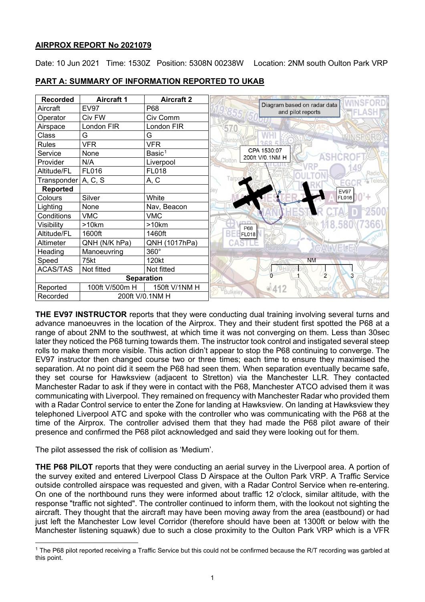# **AIRPROX REPORT No 2021079**

Date: 10 Jun 2021 Time: 1530Z Position: 5308N 00238W Location: 2NM south Oulton Park VRP

| <b>Recorded</b>             | <b>Aircraft 1</b> | <b>Aircraft 2</b>  |                                                  |
|-----------------------------|-------------------|--------------------|--------------------------------------------------|
| Aircraft                    | <b>EV97</b>       | P68                | Diagram based on radar data<br>and pilot reports |
| Operator                    | Civ FW            | Civ Comm           |                                                  |
| Airspace                    | London FIR        | London FIR         | 570                                              |
| Class                       | G                 | G                  |                                                  |
| Rules                       | <b>VFR</b>        | <b>VFR</b>         |                                                  |
| Service                     | None              | Basic <sup>1</sup> | CPA 1530:07<br>200ft V/0.1NM H                   |
| Provider                    | N/A               | Liverpool          | Clotton                                          |
| Altitude/FL                 | FL016             | <b>FL018</b>       | Radio                                            |
| Transponder   A, C, S       |                   | A, C               | Tair<br>EGO                                      |
| Reported                    |                   |                    | <b>EV97</b>                                      |
| Colours                     | Silver            | White              | <b>FL016</b>                                     |
| Lighting                    | None              | Nav, Beacon        |                                                  |
| Conditions                  | <b>VMC</b>        | VMC                |                                                  |
| Visibility                  | >10km             | >10km              | <b>P68</b>                                       |
| Altitude/FL                 | 1600ft            | 1460ft             | <b>FL018</b>                                     |
| Altimeter                   | QNH (N/K hPa)     | QNH (1017hPa)      |                                                  |
| Heading                     | Manoeuvring       | 360°               |                                                  |
| Speed                       | 75kt              | 120kt              | <b>NM</b>                                        |
| <b>ACAS/TAS</b>             | Not fitted        | Not fitted         |                                                  |
|                             |                   | <b>Separation</b>  | $\overline{2}$<br>3                              |
| Reported                    | 100ft V/500m H    | 150ft V/1NM H      | $-412$<br><b>Bulkeley</b>                        |
| 200ft V/0.1NM H<br>Recorded |                   |                    |                                                  |

# **PART A: SUMMARY OF INFORMATION REPORTED TO UKAB**

**THE EV97 INSTRUCTOR** reports that they were conducting dual training involving several turns and advance manoeuvres in the location of the Airprox. They and their student first spotted the P68 at a range of about 2NM to the southwest, at which time it was not converging on them. Less than 30sec later they noticed the P68 turning towards them. The instructor took control and instigated several steep rolls to make them more visible. This action didn't appear to stop the P68 continuing to converge. The EV97 instructor then changed course two or three times; each time to ensure they maximised the separation. At no point did it seem the P68 had seen them. When separation eventually became safe, they set course for Hawksview (adjacent to Stretton) via the Manchester LLR. They contacted Manchester Radar to ask if they were in contact with the P68, Manchester ATCO advised them it was communicating with Liverpool. They remained on frequency with Manchester Radar who provided them with a Radar Control service to enter the Zone for landing at Hawksview. On landing at Hawksview they telephoned Liverpool ATC and spoke with the controller who was communicating with the P68 at the time of the Airprox. The controller advised them that they had made the P68 pilot aware of their presence and confirmed the P68 pilot acknowledged and said they were looking out for them.

The pilot assessed the risk of collision as 'Medium'.

**THE P68 PILOT** reports that they were conducting an aerial survey in the Liverpool area. A portion of the survey exited and entered Liverpool Class D Airspace at the Oulton Park VRP. A Traffic Service outside controlled airspace was requested and given, with a Radar Control Service when re-entering. On one of the northbound runs they were informed about traffic 12 o'clock, similar altitude, with the response "traffic not sighted". The controller continued to inform them, with the lookout not sighting the aircraft. They thought that the aircraft may have been moving away from the area (eastbound) or had just left the Manchester Low level Corridor (therefore should have been at 1300ft or below with the Manchester listening squawk) due to such a close proximity to the Oulton Park VRP which is a VFR

<span id="page-0-0"></span><sup>&</sup>lt;sup>1</sup> The P68 pilot reported receiving a Traffic Service but this could not be confirmed because the R/T recording was garbled at this point.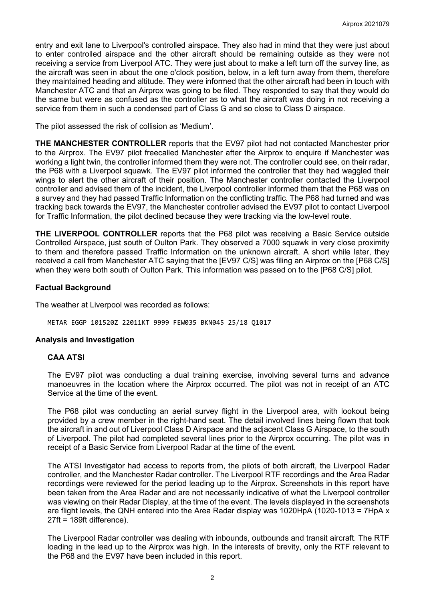entry and exit lane to Liverpool's controlled airspace. They also had in mind that they were just about to enter controlled airspace and the other aircraft should be remaining outside as they were not receiving a service from Liverpool ATC. They were just about to make a left turn off the survey line, as the aircraft was seen in about the one o'clock position, below, in a left turn away from them, therefore they maintained heading and altitude. They were informed that the other aircraft had been in touch with Manchester ATC and that an Airprox was going to be filed. They responded to say that they would do the same but were as confused as the controller as to what the aircraft was doing in not receiving a service from them in such a condensed part of Class G and so close to Class D airspace.

The pilot assessed the risk of collision as 'Medium'.

**THE MANCHESTER CONTROLLER** reports that the EV97 pilot had not contacted Manchester prior to the Airprox. The EV97 pilot freecalled Manchester after the Airprox to enquire if Manchester was working a light twin, the controller informed them they were not. The controller could see, on their radar, the P68 with a Liverpool squawk. The EV97 pilot informed the controller that they had waggled their wings to alert the other aircraft of their position. The Manchester controller contacted the Liverpool controller and advised them of the incident, the Liverpool controller informed them that the P68 was on a survey and they had passed Traffic Information on the conflicting traffic. The P68 had turned and was tracking back towards the EV97, the Manchester controller advised the EV97 pilot to contact Liverpool for Traffic Information, the pilot declined because they were tracking via the low-level route.

**THE LIVERPOOL CONTROLLER** reports that the P68 pilot was receiving a Basic Service outside Controlled Airspace, just south of Oulton Park. They observed a 7000 squawk in very close proximity to them and therefore passed Traffic Information on the unknown aircraft. A short while later, they received a call from Manchester ATC saying that the [EV97 C/S] was filing an Airprox on the [P68 C/S] when they were both south of Oulton Park. This information was passed on to the [P68 C/S] pilot.

### **Factual Background**

The weather at Liverpool was recorded as follows:

METAR EGGP 101520Z 22011KT 9999 FEW035 BKN045 25/18 Q1017

### **Analysis and Investigation**

### **CAA ATSI**

The EV97 pilot was conducting a dual training exercise, involving several turns and advance manoeuvres in the location where the Airprox occurred. The pilot was not in receipt of an ATC Service at the time of the event.

The P68 pilot was conducting an aerial survey flight in the Liverpool area, with lookout being provided by a crew member in the right-hand seat. The detail involved lines being flown that took the aircraft in and out of Liverpool Class D Airspace and the adjacent Class G Airspace, to the south of Liverpool. The pilot had completed several lines prior to the Airprox occurring. The pilot was in receipt of a Basic Service from Liverpool Radar at the time of the event.

The ATSI Investigator had access to reports from, the pilots of both aircraft, the Liverpool Radar controller, and the Manchester Radar controller. The Liverpool RTF recordings and the Area Radar recordings were reviewed for the period leading up to the Airprox. Screenshots in this report have been taken from the Area Radar and are not necessarily indicative of what the Liverpool controller was viewing on their Radar Display, at the time of the event. The levels displayed in the screenshots are flight levels, the QNH entered into the Area Radar display was 1020HpA (1020-1013 = 7HpA x 27ft = 189ft difference).

The Liverpool Radar controller was dealing with inbounds, outbounds and transit aircraft. The RTF loading in the lead up to the Airprox was high. In the interests of brevity, only the RTF relevant to the P68 and the EV97 have been included in this report.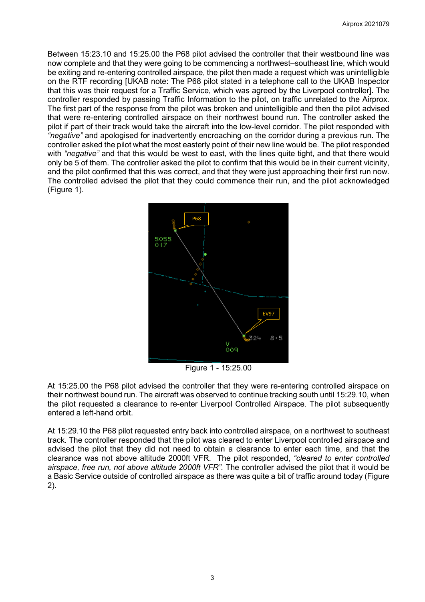Between 15:23.10 and 15:25.00 the P68 pilot advised the controller that their westbound line was now complete and that they were going to be commencing a northwest–southeast line, which would be exiting and re-entering controlled airspace, the pilot then made a request which was unintelligible on the RTF recording [UKAB note: The P68 pilot stated in a telephone call to the UKAB Inspector that this was their request for a Traffic Service, which was agreed by the Liverpool controller]. The controller responded by passing Traffic Information to the pilot, on traffic unrelated to the Airprox. The first part of the response from the pilot was broken and unintelligible and then the pilot advised that were re-entering controlled airspace on their northwest bound run. The controller asked the pilot if part of their track would take the aircraft into the low-level corridor. The pilot responded with *"negative"* and apologised for inadvertently encroaching on the corridor during a previous run. The controller asked the pilot what the most easterly point of their new line would be. The pilot responded with *"negative"* and that this would be west to east, with the lines quite tight, and that there would only be 5 of them. The controller asked the pilot to confirm that this would be in their current vicinity, and the pilot confirmed that this was correct, and that they were just approaching their first run now. The controlled advised the pilot that they could commence their run, and the pilot acknowledged (Figure 1).



Figure 1 - 15:25.00

At 15:25.00 the P68 pilot advised the controller that they were re-entering controlled airspace on their northwest bound run. The aircraft was observed to continue tracking south until 15:29.10, when the pilot requested a clearance to re-enter Liverpool Controlled Airspace. The pilot subsequently entered a left-hand orbit.

At 15:29.10 the P68 pilot requested entry back into controlled airspace, on a northwest to southeast track. The controller responded that the pilot was cleared to enter Liverpool controlled airspace and advised the pilot that they did not need to obtain a clearance to enter each time, and that the clearance was not above altitude 2000ft VFR. The pilot responded, *"cleared to enter controlled airspace, free run, not above altitude 2000ft VFR".* The controller advised the pilot that it would be a Basic Service outside of controlled airspace as there was quite a bit of traffic around today (Figure 2).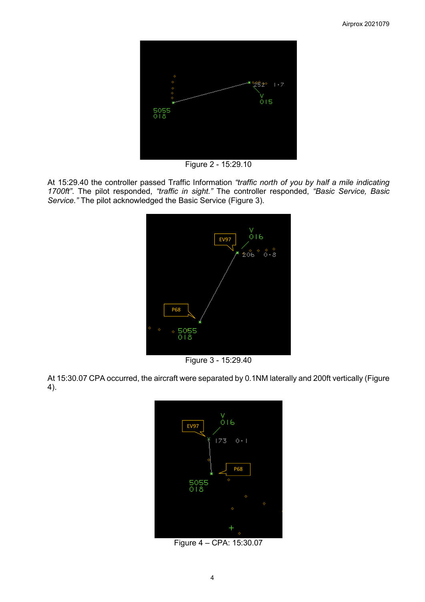

Figure 2 - 15:29.10

At 15:29.40 the controller passed Traffic Information *"traffic north of you by half a mile indicating 1700ft"*. The pilot responded, *"traffic in sight."* The controller responded, *"Basic Service, Basic Service."* The pilot acknowledged the Basic Service (Figure 3).



Figure 3 - 15:29.40

At 15:30.07 CPA occurred, the aircraft were separated by 0.1NM laterally and 200ft vertically (Figure 4).



Figure 4 – CPA: 15:30.07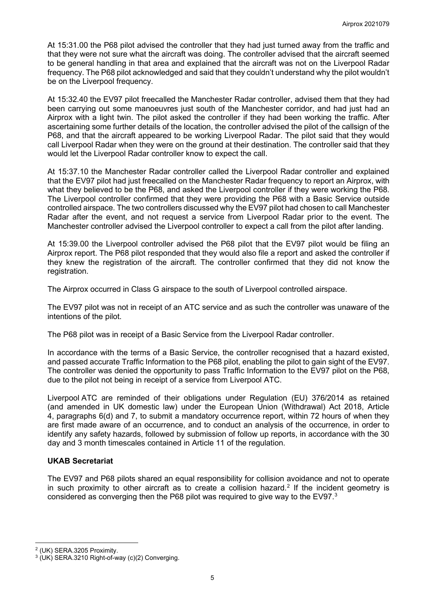At 15:31.00 the P68 pilot advised the controller that they had just turned away from the traffic and that they were not sure what the aircraft was doing. The controller advised that the aircraft seemed to be general handling in that area and explained that the aircraft was not on the Liverpool Radar frequency. The P68 pilot acknowledged and said that they couldn't understand why the pilot wouldn't be on the Liverpool frequency.

At 15:32.40 the EV97 pilot freecalled the Manchester Radar controller, advised them that they had been carrying out some manoeuvres just south of the Manchester corridor, and had just had an Airprox with a light twin. The pilot asked the controller if they had been working the traffic. After ascertaining some further details of the location, the controller advised the pilot of the callsign of the P68, and that the aircraft appeared to be working Liverpool Radar. The pilot said that they would call Liverpool Radar when they were on the ground at their destination. The controller said that they would let the Liverpool Radar controller know to expect the call.

At 15:37.10 the Manchester Radar controller called the Liverpool Radar controller and explained that the EV97 pilot had just freecalled on the Manchester Radar frequency to report an Airprox, with what they believed to be the P68, and asked the Liverpool controller if they were working the P68. The Liverpool controller confirmed that they were providing the P68 with a Basic Service outside controlled airspace. The two controllers discussed why the EV97 pilot had chosen to call Manchester Radar after the event, and not request a service from Liverpool Radar prior to the event. The Manchester controller advised the Liverpool controller to expect a call from the pilot after landing.

At 15:39.00 the Liverpool controller advised the P68 pilot that the EV97 pilot would be filing an Airprox report. The P68 pilot responded that they would also file a report and asked the controller if they knew the registration of the aircraft. The controller confirmed that they did not know the registration.

The Airprox occurred in Class G airspace to the south of Liverpool controlled airspace.

The EV97 pilot was not in receipt of an ATC service and as such the controller was unaware of the intentions of the pilot.

The P68 pilot was in receipt of a Basic Service from the Liverpool Radar controller.

In accordance with the terms of a Basic Service, the controller recognised that a hazard existed, and passed accurate Traffic Information to the P68 pilot, enabling the pilot to gain sight of the EV97. The controller was denied the opportunity to pass Traffic Information to the EV97 pilot on the P68, due to the pilot not being in receipt of a service from Liverpool ATC.

Liverpool ATC are reminded of their obligations under Regulation (EU) 376/2014 as retained (and amended in UK domestic law) under the European Union (Withdrawal) Act 2018, Article 4, paragraphs 6(d) and 7, to submit a mandatory occurrence report, within 72 hours of when they are first made aware of an occurrence, and to conduct an analysis of the occurrence, in order to identify any safety hazards, followed by submission of follow up reports, in accordance with the 30 day and 3 month timescales contained in Article 11 of the regulation.

# **UKAB Secretariat**

The EV97 and P68 pilots shared an equal responsibility for collision avoidance and not to operate in such proximity to other aircraft as to create a collision hazard.<sup>[2](#page-4-0)</sup> If the incident geometry is considered as converging then the P68 pilot was required to give way to the EV97. $^{\rm 3}$  $^{\rm 3}$  $^{\rm 3}$ 

<span id="page-4-1"></span><span id="page-4-0"></span><sup>&</sup>lt;sup>2</sup> (UK) SERA.3205 Proximity.<br><sup>3</sup> (UK) SERA.3210 Right-of-way (c)(2) Converging.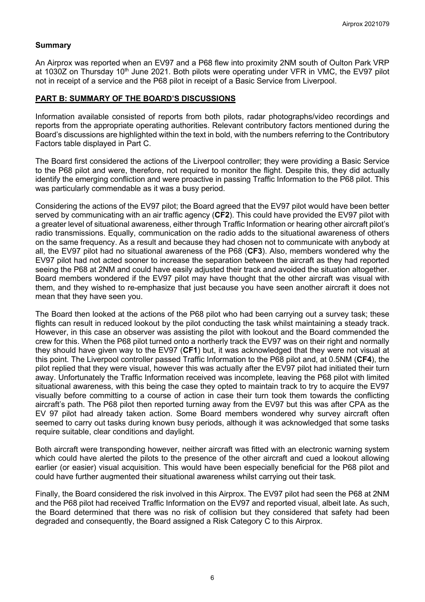## **Summary**

An Airprox was reported when an EV97 and a P68 flew into proximity 2NM south of Oulton Park VRP at 1030Z on Thursday 10<sup>th</sup> June 2021. Both pilots were operating under VFR in VMC, the EV97 pilot not in receipt of a service and the P68 pilot in receipt of a Basic Service from Liverpool.

## **PART B: SUMMARY OF THE BOARD'S DISCUSSIONS**

Information available consisted of reports from both pilots, radar photographs/video recordings and reports from the appropriate operating authorities. Relevant contributory factors mentioned during the Board's discussions are highlighted within the text in bold, with the numbers referring to the Contributory Factors table displayed in Part C.

The Board first considered the actions of the Liverpool controller; they were providing a Basic Service to the P68 pilot and were, therefore, not required to monitor the flight. Despite this, they did actually identify the emerging confliction and were proactive in passing Traffic Information to the P68 pilot. This was particularly commendable as it was a busy period.

Considering the actions of the EV97 pilot; the Board agreed that the EV97 pilot would have been better served by communicating with an air traffic agency (**CF2**). This could have provided the EV97 pilot with a greater level of situational awareness, either through Traffic Information or hearing other aircraft pilot's radio transmissions. Equally, communication on the radio adds to the situational awareness of others on the same frequency. As a result and because they had chosen not to communicate with anybody at all, the EV97 pilot had no situational awareness of the P68 (**CF3**). Also, members wondered why the EV97 pilot had not acted sooner to increase the separation between the aircraft as they had reported seeing the P68 at 2NM and could have easily adjusted their track and avoided the situation altogether. Board members wondered if the EV97 pilot may have thought that the other aircraft was visual with them, and they wished to re-emphasize that just because you have seen another aircraft it does not mean that they have seen you.

The Board then looked at the actions of the P68 pilot who had been carrying out a survey task; these flights can result in reduced lookout by the pilot conducting the task whilst maintaining a steady track. However, in this case an observer was assisting the pilot with lookout and the Board commended the crew for this. When the P68 pilot turned onto a northerly track the EV97 was on their right and normally they should have given way to the EV97 (**CF1**) but, it was acknowledged that they were not visual at this point. The Liverpool controller passed Traffic Information to the P68 pilot and, at 0.5NM (**CF4**), the pilot replied that they were visual, however this was actually after the EV97 pilot had initiated their turn away. Unfortunately the Traffic Information received was incomplete, leaving the P68 pilot with limited situational awareness, with this being the case they opted to maintain track to try to acquire the EV97 visually before committing to a course of action in case their turn took them towards the conflicting aircraft's path. The P68 pilot then reported turning away from the EV97 but this was after CPA as the EV 97 pilot had already taken action. Some Board members wondered why survey aircraft often seemed to carry out tasks during known busy periods, although it was acknowledged that some tasks require suitable, clear conditions and daylight.

Both aircraft were transponding however, neither aircraft was fitted with an electronic warning system which could have alerted the pilots to the presence of the other aircraft and cued a lookout allowing earlier (or easier) visual acquisition. This would have been especially beneficial for the P68 pilot and could have further augmented their situational awareness whilst carrying out their task.

Finally, the Board considered the risk involved in this Airprox. The EV97 pilot had seen the P68 at 2NM and the P68 pilot had received Traffic Information on the EV97 and reported visual, albeit late. As such, the Board determined that there was no risk of collision but they considered that safety had been degraded and consequently, the Board assigned a Risk Category C to this Airprox.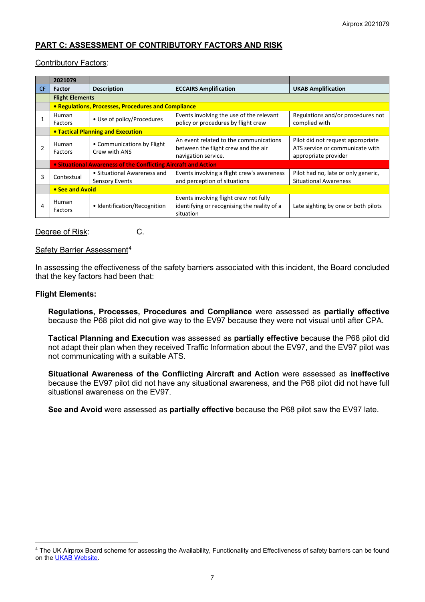# **PART C: ASSESSMENT OF CONTRIBUTORY FACTORS AND RISK**

## Contributory Factors:

|                | 2021079                                             |                                                                |                                                                                                      |                                                                                              |  |  |  |
|----------------|-----------------------------------------------------|----------------------------------------------------------------|------------------------------------------------------------------------------------------------------|----------------------------------------------------------------------------------------------|--|--|--|
| CF.            | <b>Factor</b>                                       | <b>Description</b>                                             | <b>ECCAIRS Amplification</b>                                                                         | <b>UKAB Amplification</b>                                                                    |  |  |  |
|                | <b>Flight Elements</b>                              |                                                                |                                                                                                      |                                                                                              |  |  |  |
|                | • Regulations, Processes, Procedures and Compliance |                                                                |                                                                                                      |                                                                                              |  |  |  |
|                | Human<br>Factors                                    | • Use of policy/Procedures                                     | Events involving the use of the relevant<br>policy or procedures by flight crew                      | Regulations and/or procedures not<br>complied with                                           |  |  |  |
|                |                                                     | • Tactical Planning and Execution                              |                                                                                                      |                                                                                              |  |  |  |
| $\overline{2}$ | Human<br>Factors                                    | • Communications by Flight<br>Crew with ANS                    | An event related to the communications<br>between the flight crew and the air<br>navigation service. | Pilot did not request appropriate<br>ATS service or communicate with<br>appropriate provider |  |  |  |
|                |                                                     | • Situational Awareness of the Conflicting Aircraft and Action |                                                                                                      |                                                                                              |  |  |  |
| 3              | Contextual                                          | • Situational Awareness and<br><b>Sensory Events</b>           | Events involving a flight crew's awareness<br>and perception of situations                           | Pilot had no, late or only generic,<br><b>Situational Awareness</b>                          |  |  |  |
|                | • See and Avoid                                     |                                                                |                                                                                                      |                                                                                              |  |  |  |
| 4              | Human<br>Factors                                    | • Identification/Recognition                                   | Events involving flight crew not fully<br>identifying or recognising the reality of a<br>situation   | Late sighting by one or both pilots                                                          |  |  |  |

## Degree of Risk: C.

### Safety Barrier Assessment<sup>[4](#page-6-0)</sup>

In assessing the effectiveness of the safety barriers associated with this incident, the Board concluded that the key factors had been that:

## **Flight Elements:**

**Regulations, Processes, Procedures and Compliance** were assessed as **partially effective** because the P68 pilot did not give way to the EV97 because they were not visual until after CPA.

**Tactical Planning and Execution** was assessed as **partially effective** because the P68 pilot did not adapt their plan when they received Traffic Information about the EV97, and the EV97 pilot was not communicating with a suitable ATS.

**Situational Awareness of the Conflicting Aircraft and Action** were assessed as **ineffective** because the EV97 pilot did not have any situational awareness, and the P68 pilot did not have full situational awareness on the EV97.

**See and Avoid** were assessed as **partially effective** because the P68 pilot saw the EV97 late.

<span id="page-6-0"></span><sup>&</sup>lt;sup>4</sup> The UK Airprox Board scheme for assessing the Availability, Functionality and Effectiveness of safety barriers can be found on the [UKAB Website.](http://www.airproxboard.org.uk/Learn-more/Airprox-Barrier-Assessment/)